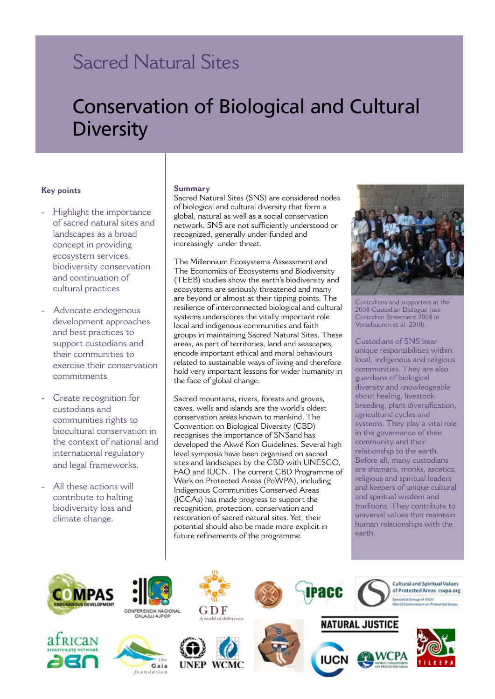## Sacred Natural Sites

# Conservation of Biological and Cultural **Diversity**

#### **Key points**

- Highlight the importance of sacred natural sites and landscapes as a broad concept in providing ecosystem services, biodiversity conservation and continuation of cultural practices
- Advocate endogenous development approaches and best practices to support custodians and their communities to exercise their conservation commitments
- Create recognition for custodians and communities rights to biocultural conservation in the context of national and international regulatory and legal frameworks.
- All these actions will contribute to halting biodiversity loss and climate change.

#### **Summary**

Sacred Natural Sites (SNS) are considered nodes of biological and cultural diversity that form a global, natural as well as a social conservation network. SNS are not sufficiently understood or recognized, generally under-funded and increasingly under threat.

The Millennium Ecosystems Assessment and The Economics of Ecosystems and Biodiversity (TEEB) studies show the earth's biodiversity and ecosystems are seriously threatened and many are beyond or almost at their tipping points. The resilience of interconnected biological and cultural systems underscores the vitally important role local and indigenous communities and faith groups in maintaining Sacred Natural Sites. These areas, as part of territories, land and seascapes, encode important ethical and moral behaviours related to sustainable ways of living and therefore hold very important lessons for wider humanity in the face of global change.

Sacred mountains, rivers, forests and groves, caves, wells and islands are the world's oldest conservation areas known to mankind. The Convention on Biological Diversity (CBD) recognises the importance of SNSand has developed the Akwé Kon Guidelines. Several high level symposia have been organised on sacred sites and landscapes by the CBD with UNESCO, FAO and IUCN. The current CBD Programme of Work on Protected Areas (PoWPA), including Indigenous Communities Conserved Areas (ICCAs) has made progress to support the recognition, protection, conservation and restoration of sacred natural sites. Yet, their potential should also be made more explicit in future refinements of the programme.



Custodians and supporters at the 2008 Custodian Dialogue (see Custodian Statement 2008 in Verschuuren et al. 2010).

Custodians of SNS bear unique responsibilities within local, indigenous and religious communities. They are also guardians of biological diversity and knowledgeable about healing, livestock breeding, plant diversification, agricultural cycles and systems. They play a vital role in the governance of their community and their relationship to the earth. Before all, many custodians are shamans, monks, ascetics, religious and spiritual leaders and keepers of unique cultural and spiritual wisdom and traditions. They contribute to universal values that maintain human relationships with the earth.



**RICAN** 



Gaia

foundation











## **NATURAL JUSTICE**



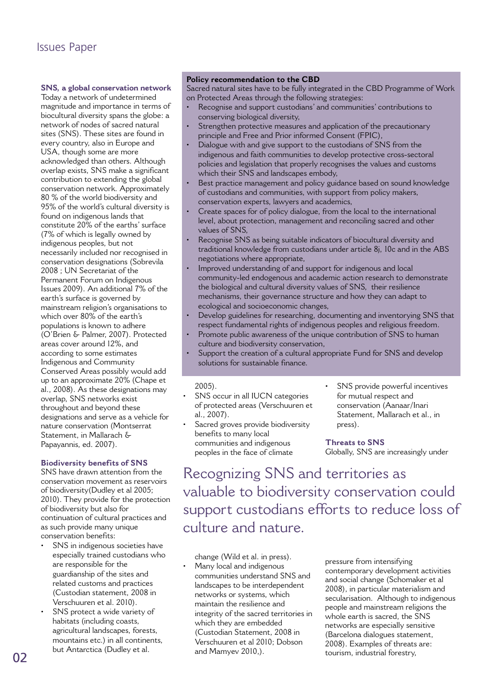### Issues Paper

#### **SNS, a global conservation network**  Today a network of undetermined

magnitude and importance in terms of biocultural diversity spans the globe: a network of nodes of sacred natural sites (SNS). These sites are found in every country, also in Europe and USA, though some are more acknowledged than others. Although overlap exists, SNS make a significant contribution to extending the global conservation network. Approximately 80 % of the world biodiversity and 95% of the world's cultural diversity is found on indigenous lands that constitute 20% of the earths' surface (7% of which is legally owned by indigenous peoples, but not necessarily included nor recognised in conservation designations (Sobrevila 2008 ; UN Secretariat of the Permanent Forum on Indigenous Issues 2009). An additional 7% of the earth's surface is governed by mainstream religion's organisations to which over 80% of the earth's populations is known to adhere (O'Brien & Palmer, 2007). Protected areas cover around 12%, and according to some estimates Indigenous and Community Conserved Areas possibly would add up to an approximate 20% (Chape et al., 2008). As these designations may overlap, SNS networks exist throughout and beyond these designations and serve as a vehicle for nature conservation (Montserrat Statement, in Mallarach & Papayannis, ed. 2007).

#### **Biodiversity benefits of SNS**

SNS have drawn attention from the conservation movement as reservoirs of biodiversity(Dudley et al 2005; 2010). They provide for the protection of biodiversity but also for continuation of cultural practices and as such provide many unique conservation benefits:

- SNS in indigenous societies have especially trained custodians who are responsible for the guardianship of the sites and related customs and practices (Custodian statement, 2008 in Verschuuren et al. 2010).
- SNS protect a wide variety of habitats (including coasts, agricultural landscapes, forests, mountains etc.) in all continents, but Antarctica (Dudley et al.

#### **Policy recommendation to the CBD**

Sacred natural sites have to be fully integrated in the CBD Programme of Work on Protected Areas through the following strategies:

- Recognise and support custodians' and communities' contributions to conserving biological diversity,
- Strengthen protective measures and application of the precautionary principle and Free and Prior informed Consent (FPIC),
- Dialogue with and give support to the custodians of SNS from the indigenous and faith communities to develop protective cross-sectoral policies and legislation that properly recognises the values and customs which their SNS and landscapes embody,
- Best practice management and policy guidance based on sound knowledge of custodians and communities, with support from policy makers, conservation experts, lawyers and academics,
- Create spaces for of policy dialogue, from the local to the international level, about protection, management and reconciling sacred and other values of SNS,
- Recognise SNS as being suitable indicators of biocultural diversity and traditional knowledge from custodians under article 8j, 10c and in the ABS negotiations where appropriate,
- Improved understanding of and support for indigenous and local community-led endogenous and academic action research to demonstrate the biological and cultural diversity values of SNS, their resilience mechanisms, their governance structure and how they can adapt to ecological and socioeconomic changes,
- Develop guidelines for researching, documenting and inventorying SNS that respect fundamental rights of indigenous peoples and religious freedom.
- Promote public awareness of the unique contribution of SNS to human culture and biodiversity conservation,
- Support the creation of a cultural appropriate Fund for SNS and develop solutions for sustainable finance.

#### 2005).

- SNS occur in all IUCN categories of protected areas (Verschuuren et al., 2007).
- Sacred groves provide biodiversity benefits to many local communities and indigenous peoples in the face of climate
- SNS provide powerful incentives for mutual respect and conservation (Aanaar/Inari Statement, Mallarach et al., in press).

#### **Threats to SNS** Globally, SNS are increasingly under

Recognizing SNS and territories as valuable to biodiversity conservation could support custodians efforts to reduce loss of culture and nature.

change (Wild et al. in press). Many local and indigenous communities understand SNS and landscapes to be interdependent networks or systems, which maintain the resilience and integrity of the sacred territories in which they are embedded (Custodian Statement, 2008 in Verschuuren et al 2010; Dobson and Mamyev 2010,). but Antarctica (Dudley et al. and Mamyev 2010,). tourism, industrial forestry,<br> **02** 

pressure from intensifying contemporary development activities and social change (Schomaker et al 2008), in particular materialism and secularisation. Although to indigenous people and mainstream religions the whole earth is sacred, the SNS networks are especially sensitive (Barcelona dialogues statement, 2008). Examples of threats are: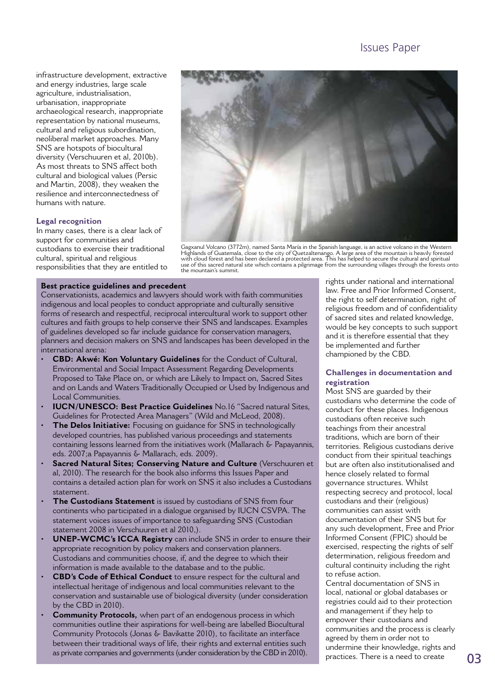infrastructure development, extractive and energy industries, large scale agriculture, industrialisation, urbanisation, inappropriate archaeological research, inappropriate representation by national museums, cultural and religious subordination, neoliberal market approaches. Many SNS are hotspots of biocultural diversity (Verschuuren et al, 2010b). As most threats to SNS affect both cultural and biological values (Persic and Martin, 2008), they weaken the resilience and interconnectedness of humans with nature.

#### **Legal recognition**

In many cases, there is a clear lack of support for communities and custodians to exercise their traditional cultural, spiritual and religious responsibilities that they are entitled to



Gagxanul Volcano (3772m), named Santa María in the Spanish language, is an active volcano in the Western Highlands of Guatemala, close to the city of Quetzaltenango. A large area of the mountain is heavily forested with cloud forest and has been declared a protected area. This has helped to secure the cultural and spiritual use of this sacred natural site which contains a pilgrimage from the surrounding villages through the forests onto the mountain's summit.

#### **Best practice guidelines and precedent**

Conservationists, academics and lawyers should work with faith communities indigenous and local peoples to conduct appropriate and culturally sensitive forms of research and respectful, reciprocal intercultural work to support other cultures and faith groups to help conserve their SNS and landscapes. Examples of guidelines developed so far include guidance for conservation managers, planners and decision makers on SNS and landscapes has been developed in the international arena:

- **CBD: Akwé: Kon Voluntary Guidelines** for the Conduct of Cultural, Environmental and Social Impact Assessment Regarding Developments Proposed to Take Place on, or which are Likely to Impact on, Sacred Sites and on Lands and Waters Traditionally Occupied or Used by Indigenous and Local Communities.
- **IUCN/UNESCO: Best Practice Guidelines** No.16 "Sacred natural Sites, Guidelines for Protected Area Managers" (Wild and McLeod, 2008).
- **The Delos Initiative:** Focusing on guidance for SNS in technologically developed countries, has published various proceedings and statements containing lessons learned from the initiatives work (Mallarach & Papayannis, eds. 2007;a Papayannis & Mallarach, eds. 2009).
- **Sacred Natural Sites; Conserving Nature and Culture** (Verschuuren et al, 2010). The research for the book also informs this Issues Paper and contains a detailed action plan for work on SNS it also includes a Custodians statement.
- The Custodians Statement is issued by custodians of SNS from four continents who participated in a dialogue organised by IUCN CSVPA. The statement voices issues of importance to safeguarding SNS (Custodian statement 2008 in Verschuuren et al 2010,).
- **UNEP-WCMC's ICCA Registry** can include SNS in order to ensure their appropriate recognition by policy makers and conservation planners. Custodians and communities choose, if, and the degree to which their information is made available to the database and to the public.
- **CBD's Code of Ethical Conduct** to ensure respect for the cultural and intellectual heritage of indigenous and local communities relevant to the conservation and sustainable use of biological diversity (under consideration by the CBD in 2010).
- **Community Protocols,** when part of an endogenous process in which communities outline their aspirations for well-being are labelled Biocultural Community Protocols (Jonas & Bavikatte 2010), to facilitate an interface between their traditional ways of life, their rights and external entities such as private companies and governments (under consideration by the CBD in 2010).

rights under national and international law. Free and Prior Informed Consent, the right to self determination, right of religious freedom and of confidentiality of sacred sites and related knowledge, would be key concepts to such support and it is therefore essential that they be implemented and further championed by the CBD.

#### **Challenges in documentation and registration**

Most SNS are guarded by their custodians who determine the code of conduct for these places. Indigenous custodians often receive such teachings from their ancestral traditions, which are born of their territories. Religious custodians derive conduct from their spiritual teachings but are often also institutionalised and hence closely related to formal governance structures. Whilst respecting secrecy and protocol, local custodians and their (religious) communities can assist with documentation of their SNS but for any such development, Free and Prior Informed Consent (FPIC) should be exercised, respecting the rights of self determination, religious freedom and cultural continuity including the right to refuse action.

Central documentation of SNS in local, national or global databases or registries could aid to their protection and management if they help to empower their custodians and communities and the process is clearly agreed by them in order not to undermine their knowledge, rights and practices. There is a need to create 03